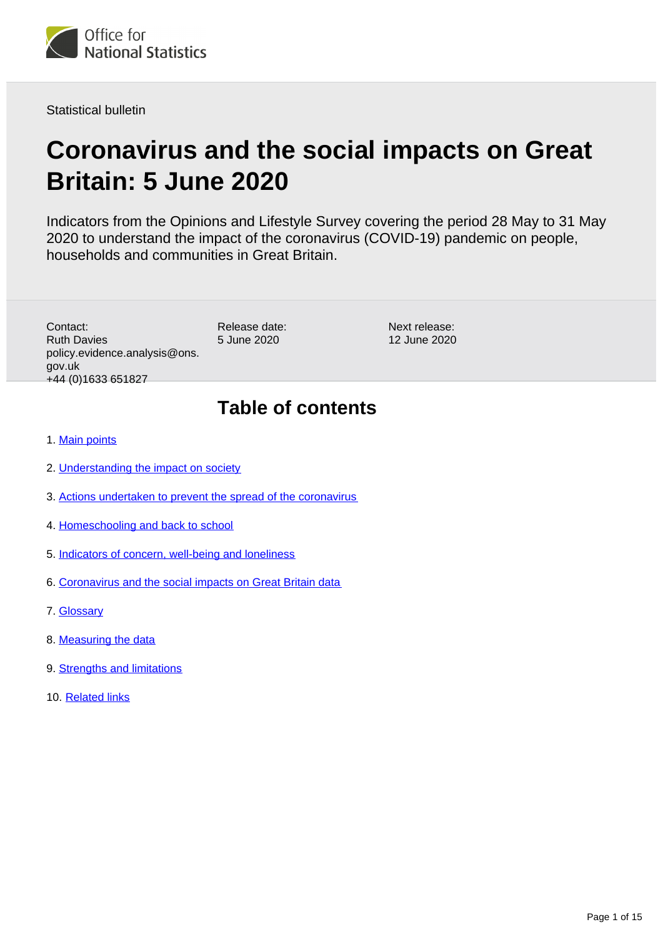<span id="page-0-0"></span>

Statistical bulletin

# **Coronavirus and the social impacts on Great Britain: 5 June 2020**

Indicators from the Opinions and Lifestyle Survey covering the period 28 May to 31 May 2020 to understand the impact of the coronavirus (COVID-19) pandemic on people, households and communities in Great Britain.

Contact: Ruth Davies policy.evidence.analysis@ons. gov.uk +44 (0)1633 651827

Release date: 5 June 2020

Next release: 12 June 2020

# **Table of contents**

- 1. [Main points](#page-1-0)
- 2. [Understanding the impact on society](#page-1-1)
- 3. [Actions undertaken to prevent the spread of the coronavirus](#page-1-2)
- 4. [Homeschooling and back to school](#page-9-0)
- 5. [Indicators of concern, well-being and loneliness](#page-9-1)
- 6. [Coronavirus and the social impacts on Great Britain data](#page-11-0)
- 7. [Glossary](#page-11-1)
- 8. [Measuring the data](#page-12-0)
- 9. [Strengths and limitations](#page-13-0)
- 10. [Related links](#page-14-0)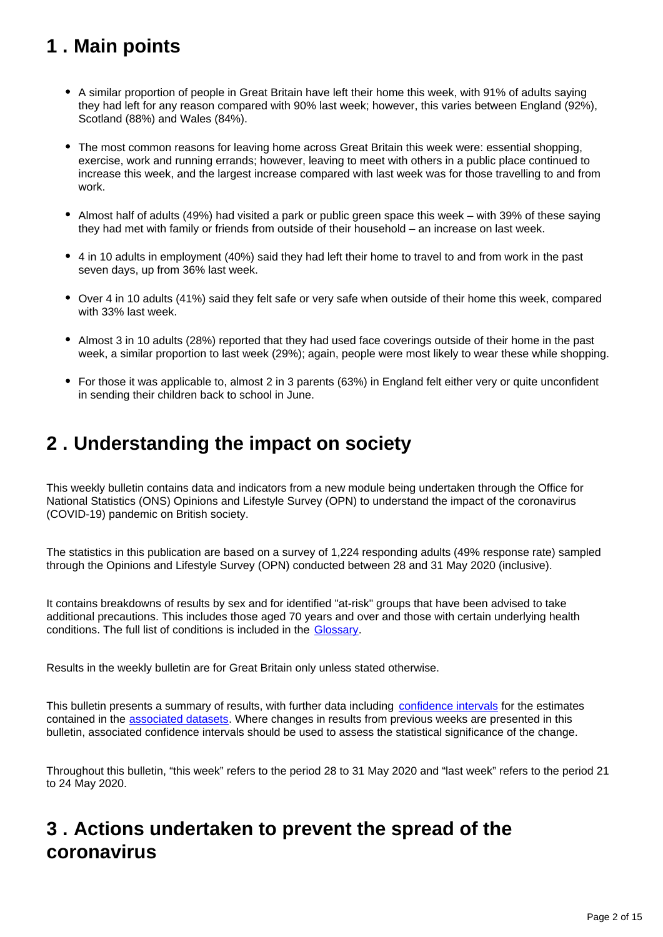# <span id="page-1-0"></span>**1 . Main points**

- A similar proportion of people in Great Britain have left their home this week, with 91% of adults saying they had left for any reason compared with 90% last week; however, this varies between England (92%), Scotland (88%) and Wales (84%).
- The most common reasons for leaving home across Great Britain this week were: essential shopping, exercise, work and running errands; however, leaving to meet with others in a public place continued to increase this week, and the largest increase compared with last week was for those travelling to and from work.
- Almost half of adults (49%) had visited a park or public green space this week with 39% of these saying they had met with family or friends from outside of their household – an increase on last week.
- 4 in 10 adults in employment (40%) said they had left their home to travel to and from work in the past seven days, up from 36% last week.
- Over 4 in 10 adults (41%) said they felt safe or very safe when outside of their home this week, compared with 33% last week.
- Almost 3 in 10 adults (28%) reported that they had used face coverings outside of their home in the past week, a similar proportion to last week (29%); again, people were most likely to wear these while shopping.
- For those it was applicable to, almost 2 in 3 parents (63%) in England felt either very or quite unconfident in sending their children back to school in June.

# <span id="page-1-1"></span>**2 . Understanding the impact on society**

This weekly bulletin contains data and indicators from a new module being undertaken through the Office for National Statistics (ONS) Opinions and Lifestyle Survey (OPN) to understand the impact of the coronavirus (COVID-19) pandemic on British society.

The statistics in this publication are based on a survey of 1,224 responding adults (49% response rate) sampled through the Opinions and Lifestyle Survey (OPN) conducted between 28 and 31 May 2020 (inclusive).

It contains breakdowns of results by sex and for identified "at-risk" groups that have been advised to take additional precautions. This includes those aged 70 years and over and those with certain underlying health conditions. The full list of conditions is included in the [Glossary](https://www.ons.gov.uk/peoplepopulationandcommunity/healthandsocialcare/healthandwellbeing/bulletins/coronavirusandthesocialimpactsongreatbritain/5june2020#glossary).

Results in the weekly bulletin are for Great Britain only unless stated otherwise.

This bulletin presents a summary of results, with further data including [confidence intervals](https://www.ons.gov.uk/methodology/methodologytopicsandstatisticalconcepts/uncertaintyandhowwemeasureit#confidence-interval) for the estimates contained in the [associated datasets](https://www.ons.gov.uk/peoplepopulationandcommunity/healthandsocialcare/healthandwellbeing/bulletins/coronavirusandthesocialimpactsongreatbritain/29may2020/relateddata). Where changes in results from previous weeks are presented in this bulletin, associated confidence intervals should be used to assess the statistical significance of the change.

Throughout this bulletin, "this week" refers to the period 28 to 31 May 2020 and "last week" refers to the period 21 to 24 May 2020.

# <span id="page-1-2"></span>**3 . Actions undertaken to prevent the spread of the coronavirus**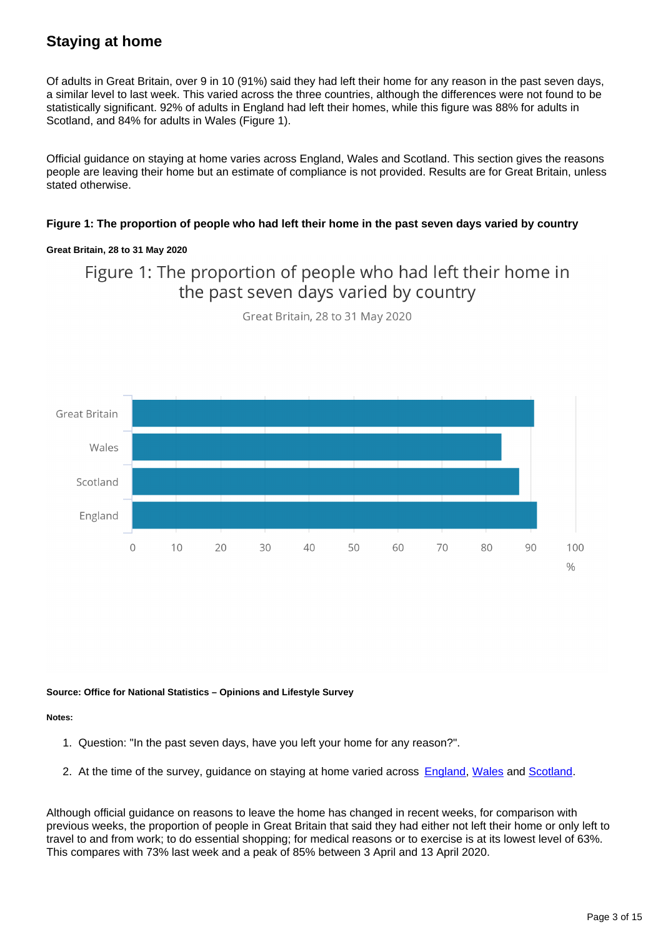## **Staying at home**

Of adults in Great Britain, over 9 in 10 (91%) said they had left their home for any reason in the past seven days, a similar level to last week. This varied across the three countries, although the differences were not found to be statistically significant. 92% of adults in England had left their homes, while this figure was 88% for adults in Scotland, and 84% for adults in Wales (Figure 1).

Official guidance on staying at home varies across England, Wales and Scotland. This section gives the reasons people are leaving their home but an estimate of compliance is not provided. Results are for Great Britain, unless stated otherwise.

### **Figure 1: The proportion of people who had left their home in the past seven days varied by country**

### **Great Britain, 28 to 31 May 2020**

## Figure 1: The proportion of people who had left their home in the past seven days varied by country



Great Britain, 28 to 31 May 2020

**Source: Office for National Statistics – Opinions and Lifestyle Survey**

**Notes:**

- 1. Question: "In the past seven days, have you left your home for any reason?".
- 2. At the time of the survey, guidance on staying at home varied across [England,](https://www.gov.uk/government/publications/staying-alert-and-safe-social-distancing) [Wales](https://gov.wales/staying-home-and-away-others-guidance) and [Scotland](https://www.gov.scot/publications/coronavirus-covid-19-staying-at-home-and-away-from-others/pages/staying-at-home/).

Although official guidance on reasons to leave the home has changed in recent weeks, for comparison with previous weeks, the proportion of people in Great Britain that said they had either not left their home or only left to travel to and from work; to do essential shopping; for medical reasons or to exercise is at its lowest level of 63%. This compares with 73% last week and a peak of 85% between 3 April and 13 April 2020.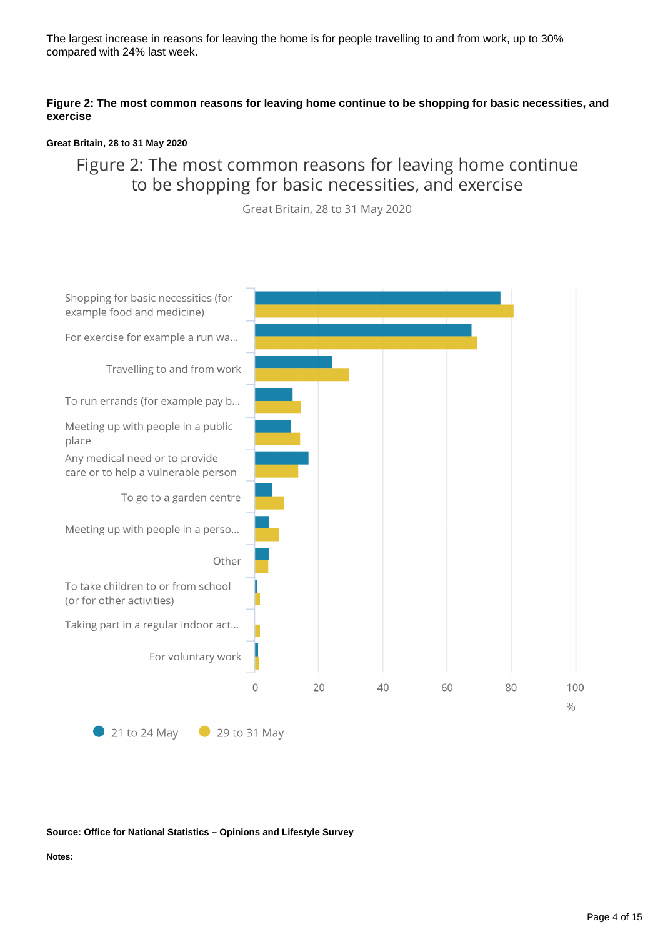The largest increase in reasons for leaving the home is for people travelling to and from work, up to 30% compared with 24% last week.

### **Figure 2: The most common reasons for leaving home continue to be shopping for basic necessities, and exercise**

### **Great Britain, 28 to 31 May 2020**

## Figure 2: The most common reasons for leaving home continue to be shopping for basic necessities, and exercise

Great Britain, 28 to 31 May 2020



### **Source: Office for National Statistics – Opinions and Lifestyle Survey**

**Notes:**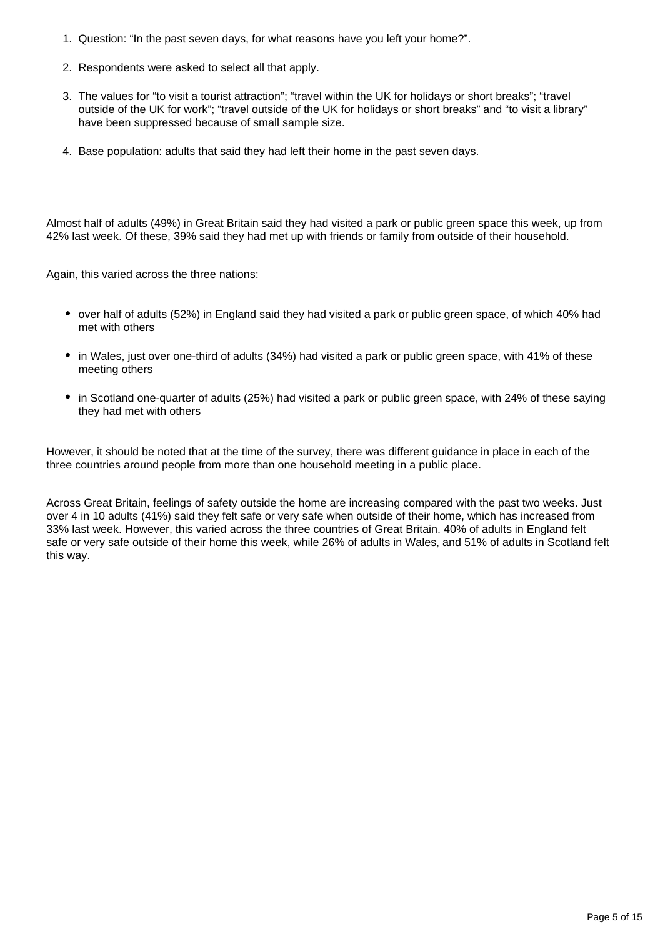- 1. Question: "In the past seven days, for what reasons have you left your home?".
- 2. Respondents were asked to select all that apply.
- 3. The values for "to visit a tourist attraction"; "travel within the UK for holidays or short breaks"; "travel outside of the UK for work"; "travel outside of the UK for holidays or short breaks" and "to visit a library" have been suppressed because of small sample size.
- 4. Base population: adults that said they had left their home in the past seven days.

Almost half of adults (49%) in Great Britain said they had visited a park or public green space this week, up from 42% last week. Of these, 39% said they had met up with friends or family from outside of their household.

Again, this varied across the three nations:

- over half of adults (52%) in England said they had visited a park or public green space, of which 40% had met with others
- in Wales, just over one-third of adults (34%) had visited a park or public green space, with 41% of these meeting others
- in Scotland one-quarter of adults (25%) had visited a park or public green space, with 24% of these saying they had met with others

However, it should be noted that at the time of the survey, there was different guidance in place in each of the three countries around people from more than one household meeting in a public place.

Across Great Britain, feelings of safety outside the home are increasing compared with the past two weeks. Just over 4 in 10 adults (41%) said they felt safe or very safe when outside of their home, which has increased from 33% last week. However, this varied across the three countries of Great Britain. 40% of adults in England felt safe or very safe outside of their home this week, while 26% of adults in Wales, and 51% of adults in Scotland felt this way.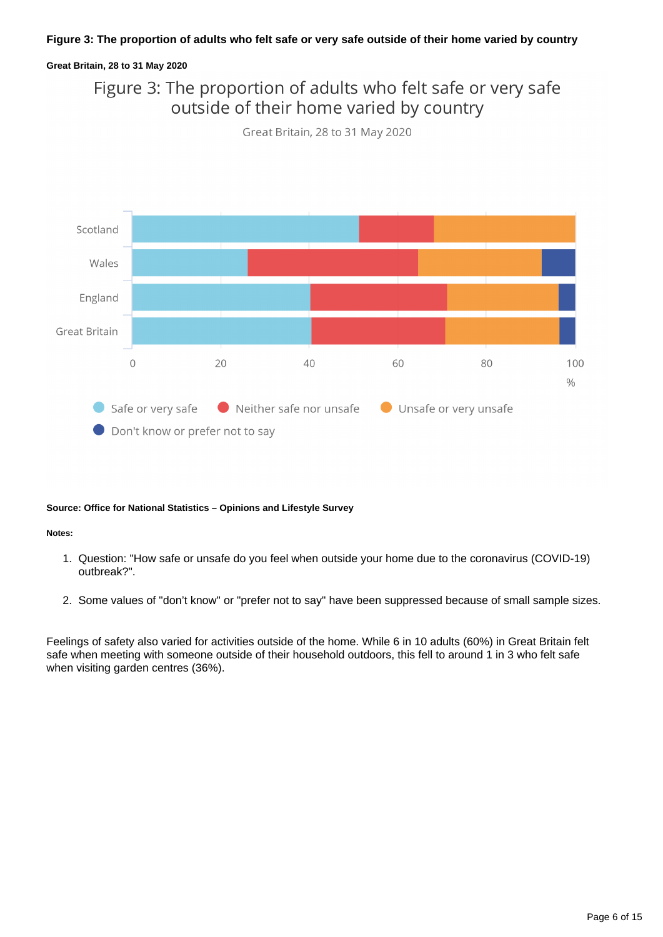### **Figure 3: The proportion of adults who felt safe or very safe outside of their home varied by country**

### **Great Britain, 28 to 31 May 2020**

## Figure 3: The proportion of adults who felt safe or very safe outside of their home varied by country





### **Source: Office for National Statistics – Opinions and Lifestyle Survey**

### **Notes:**

- 1. Question: "How safe or unsafe do you feel when outside your home due to the coronavirus (COVID-19) outbreak?".
- 2. Some values of "don't know" or "prefer not to say" have been suppressed because of small sample sizes.

Feelings of safety also varied for activities outside of the home. While 6 in 10 adults (60%) in Great Britain felt safe when meeting with someone outside of their household outdoors, this fell to around 1 in 3 who felt safe when visiting garden centres (36%).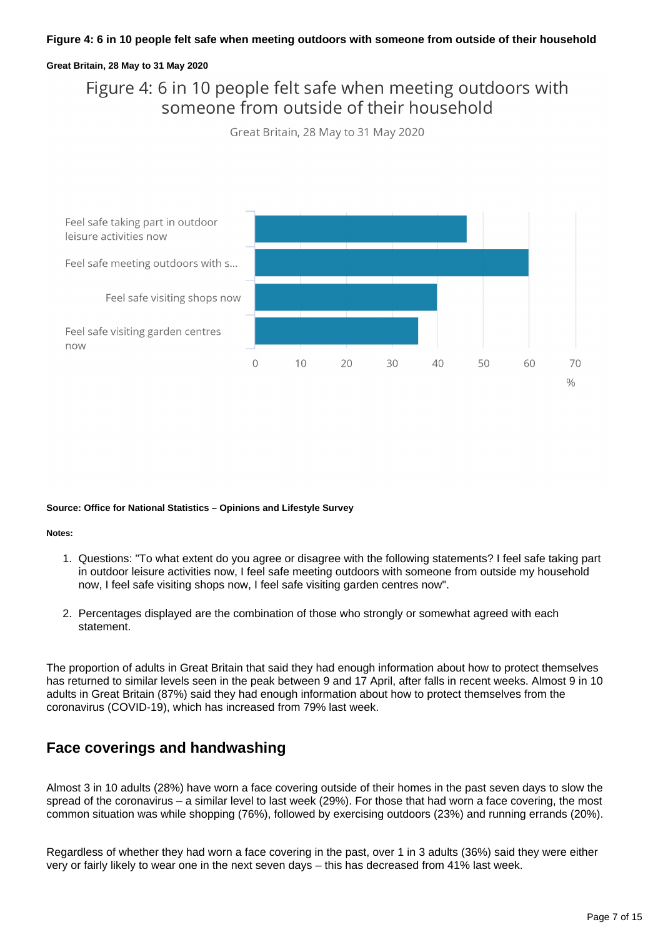### **Figure 4: 6 in 10 people felt safe when meeting outdoors with someone from outside of their household**

### **Great Britain, 28 May to 31 May 2020**

## Figure 4: 6 in 10 people felt safe when meeting outdoors with someone from outside of their household

Great Britain, 28 May to 31 May 2020



### **Source: Office for National Statistics – Opinions and Lifestyle Survey**

### **Notes:**

- 1. Questions: "To what extent do you agree or disagree with the following statements? I feel safe taking part in outdoor leisure activities now, I feel safe meeting outdoors with someone from outside my household now, I feel safe visiting shops now, I feel safe visiting garden centres now".
- 2. Percentages displayed are the combination of those who strongly or somewhat agreed with each statement.

The proportion of adults in Great Britain that said they had enough information about how to protect themselves has returned to similar levels seen in the peak between 9 and 17 April, after falls in recent weeks. Almost 9 in 10 adults in Great Britain (87%) said they had enough information about how to protect themselves from the coronavirus (COVID-19), which has increased from 79% last week.

### **Face coverings and handwashing**

Almost 3 in 10 adults (28%) have worn a face covering outside of their homes in the past seven days to slow the spread of the coronavirus – a similar level to last week (29%). For those that had worn a face covering, the most common situation was while shopping (76%), followed by exercising outdoors (23%) and running errands (20%).

Regardless of whether they had worn a face covering in the past, over 1 in 3 adults (36%) said they were either very or fairly likely to wear one in the next seven days – this has decreased from 41% last week.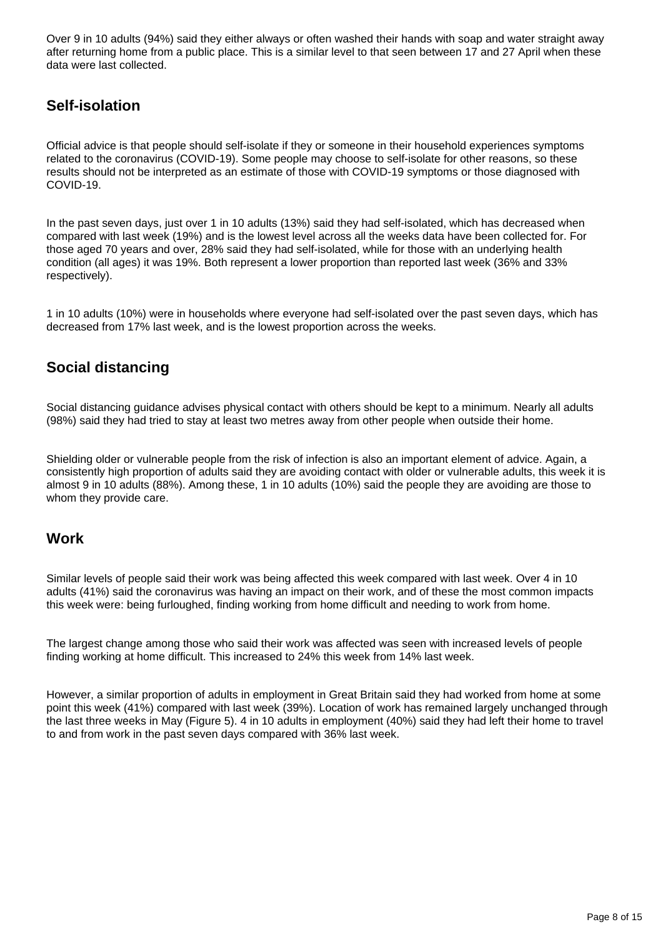Over 9 in 10 adults (94%) said they either always or often washed their hands with soap and water straight away after returning home from a public place. This is a similar level to that seen between 17 and 27 April when these data were last collected.

## **Self-isolation**

Official advice is that people should self-isolate if they or someone in their household experiences symptoms related to the coronavirus (COVID-19). Some people may choose to self-isolate for other reasons, so these results should not be interpreted as an estimate of those with COVID-19 symptoms or those diagnosed with COVID-19.

In the past seven days, just over 1 in 10 adults (13%) said they had self-isolated, which has decreased when compared with last week (19%) and is the lowest level across all the weeks data have been collected for. For those aged 70 years and over, 28% said they had self-isolated, while for those with an underlying health condition (all ages) it was 19%. Both represent a lower proportion than reported last week (36% and 33% respectively).

1 in 10 adults (10%) were in households where everyone had self-isolated over the past seven days, which has decreased from 17% last week, and is the lowest proportion across the weeks.

### **Social distancing**

Social distancing guidance advises physical contact with others should be kept to a minimum. Nearly all adults (98%) said they had tried to stay at least two metres away from other people when outside their home.

Shielding older or vulnerable people from the risk of infection is also an important element of advice. Again, a consistently high proportion of adults said they are avoiding contact with older or vulnerable adults, this week it is almost 9 in 10 adults (88%). Among these, 1 in 10 adults (10%) said the people they are avoiding are those to whom they provide care.

### **Work**

Similar levels of people said their work was being affected this week compared with last week. Over 4 in 10 adults (41%) said the coronavirus was having an impact on their work, and of these the most common impacts this week were: being furloughed, finding working from home difficult and needing to work from home.

The largest change among those who said their work was affected was seen with increased levels of people finding working at home difficult. This increased to 24% this week from 14% last week.

However, a similar proportion of adults in employment in Great Britain said they had worked from home at some point this week (41%) compared with last week (39%). Location of work has remained largely unchanged through the last three weeks in May (Figure 5). 4 in 10 adults in employment (40%) said they had left their home to travel to and from work in the past seven days compared with 36% last week.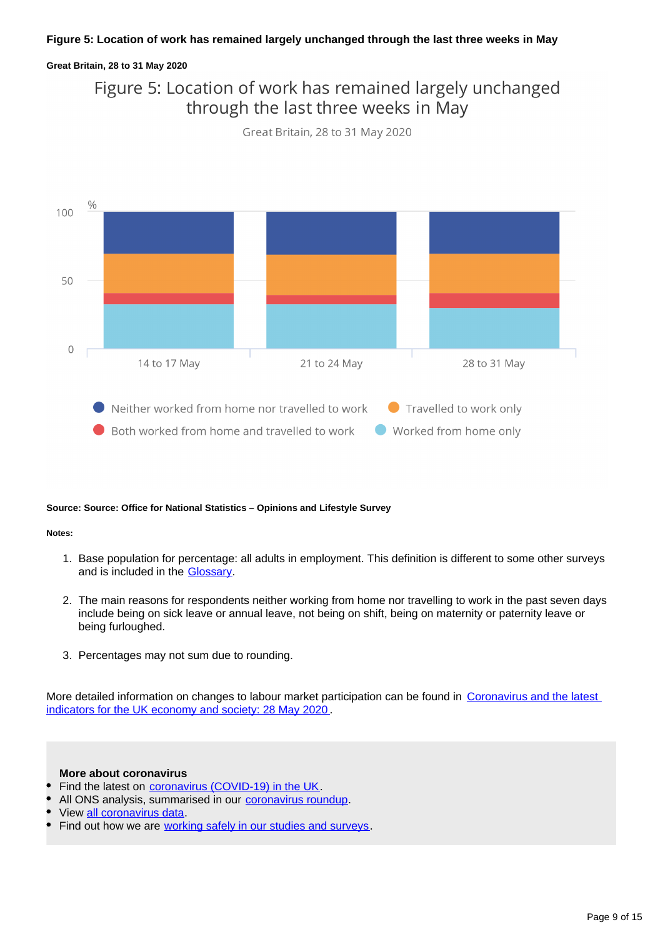### **Great Britain, 28 to 31 May 2020**

## Figure 5: Location of work has remained largely unchanged through the last three weeks in May





### **Source: Source: Office for National Statistics – Opinions and Lifestyle Survey**

### **Notes:**

- 1. Base population for percentage: all adults in employment. This definition is different to some other surveys and is included in the **Glossary**.
- 2. The main reasons for respondents neither working from home nor travelling to work in the past seven days include being on sick leave or annual leave, not being on shift, being on maternity or paternity leave or being furloughed.
- 3. Percentages may not sum due to rounding.

More detailed information on changes to labour market participation can be found in Coronavirus and the latest [indicators for the UK economy and society: 28 May 2020](https://www.ons.gov.uk/peoplepopulationandcommunity/healthandsocialcare/conditionsanddiseases/bulletins/coronavirustheukeconomyandsocietyfasterindicators/28may2020).

### **More about coronavirus**

- Find the latest on [coronavirus \(COVID-19\) in the UK](https://www.ons.gov.uk/peoplepopulationandcommunity/healthandsocialcare/conditionsanddiseases/bulletins/coronavirustheukeconomyandsocietyfasterindicators/latest).
- All ONS analysis, summarised in our [coronavirus roundup.](https://www.ons.gov.uk/peoplepopulationandcommunity/healthandsocialcare/conditionsanddiseases/articles/coronaviruscovid19roundup/latest)
- View [all coronavirus data.](https://www.ons.gov.uk/peoplepopulationandcommunity/healthandsocialcare/conditionsanddiseases/datalist)
- Find out how we are [working safely in our studies and surveys](https://www.ons.gov.uk/news/statementsandletters/ensuringyoursafetyduringcovid19).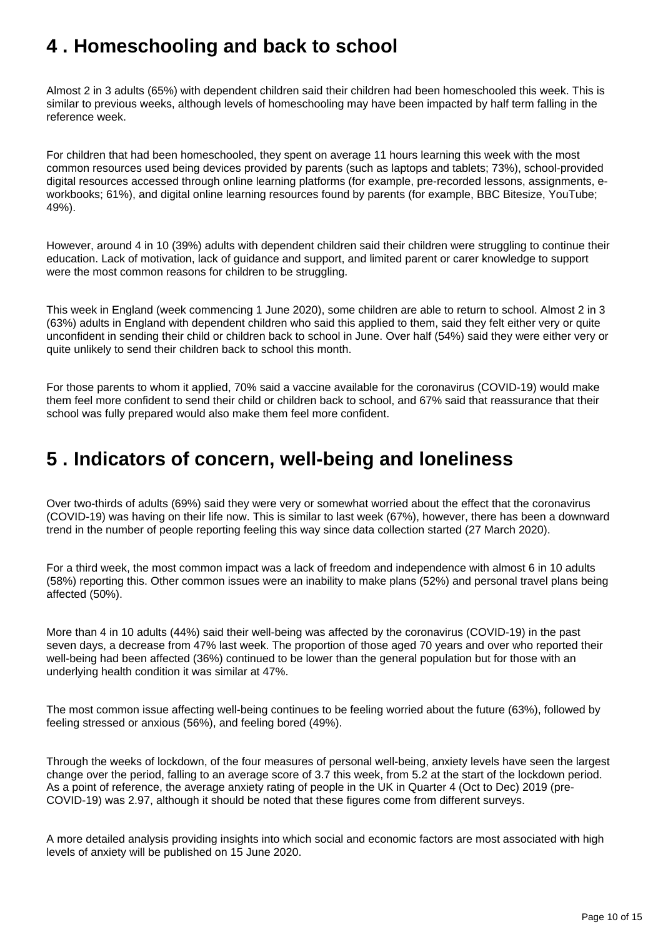# <span id="page-9-0"></span>**4 . Homeschooling and back to school**

Almost 2 in 3 adults (65%) with dependent children said their children had been homeschooled this week. This is similar to previous weeks, although levels of homeschooling may have been impacted by half term falling in the reference week.

For children that had been homeschooled, they spent on average 11 hours learning this week with the most common resources used being devices provided by parents (such as laptops and tablets; 73%), school-provided digital resources accessed through online learning platforms (for example, pre-recorded lessons, assignments, eworkbooks; 61%), and digital online learning resources found by parents (for example, BBC Bitesize, YouTube; 49%).

However, around 4 in 10 (39%) adults with dependent children said their children were struggling to continue their education. Lack of motivation, lack of guidance and support, and limited parent or carer knowledge to support were the most common reasons for children to be struggling.

This week in England (week commencing 1 June 2020), some children are able to return to school. Almost 2 in 3 (63%) adults in England with dependent children who said this applied to them, said they felt either very or quite unconfident in sending their child or children back to school in June. Over half (54%) said they were either very or quite unlikely to send their children back to school this month.

For those parents to whom it applied, 70% said a vaccine available for the coronavirus (COVID-19) would make them feel more confident to send their child or children back to school, and 67% said that reassurance that their school was fully prepared would also make them feel more confident.

# <span id="page-9-1"></span>**5 . Indicators of concern, well-being and loneliness**

Over two-thirds of adults (69%) said they were very or somewhat worried about the effect that the coronavirus (COVID-19) was having on their life now. This is similar to last week (67%), however, there has been a downward trend in the number of people reporting feeling this way since data collection started (27 March 2020).

For a third week, the most common impact was a lack of freedom and independence with almost 6 in 10 adults (58%) reporting this. Other common issues were an inability to make plans (52%) and personal travel plans being affected (50%).

More than 4 in 10 adults (44%) said their well-being was affected by the coronavirus (COVID-19) in the past seven days, a decrease from 47% last week. The proportion of those aged 70 years and over who reported their well-being had been affected (36%) continued to be lower than the general population but for those with an underlying health condition it was similar at 47%.

The most common issue affecting well-being continues to be feeling worried about the future (63%), followed by feeling stressed or anxious (56%), and feeling bored (49%).

Through the weeks of lockdown, of the four measures of personal well-being, anxiety levels have seen the largest change over the period, falling to an average score of 3.7 this week, from 5.2 at the start of the lockdown period. As a point of reference, the average anxiety rating of people in the UK in Quarter 4 (Oct to Dec) 2019 (pre-COVID-19) was 2.97, although it should be noted that these figures come from different surveys.

A more detailed analysis providing insights into which social and economic factors are most associated with high levels of anxiety will be published on 15 June 2020.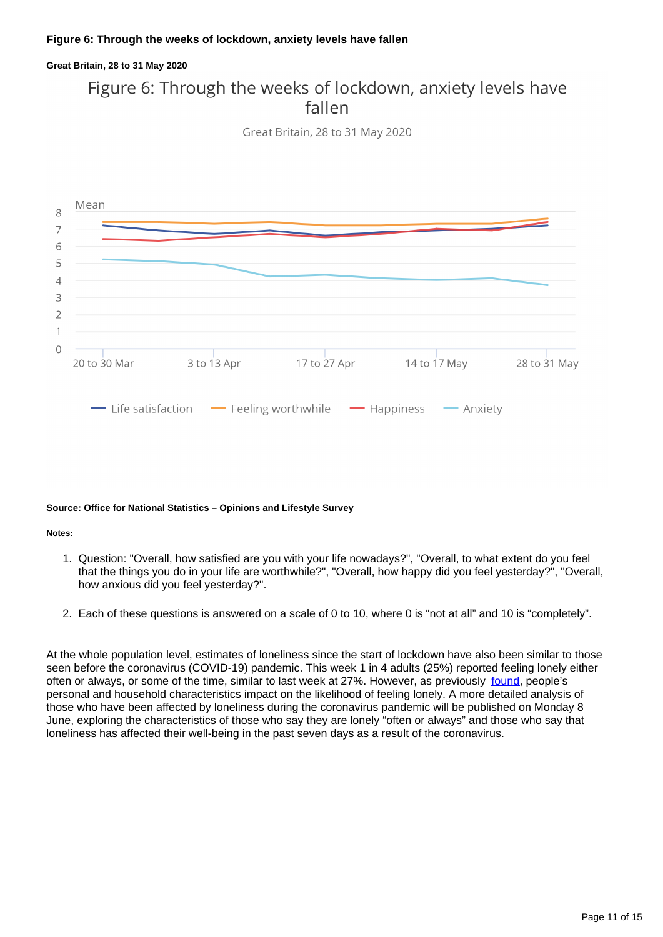### **Great Britain, 28 to 31 May 2020**

## Figure 6: Through the weeks of lockdown, anxiety levels have fallen





### **Source: Office for National Statistics – Opinions and Lifestyle Survey**

### **Notes:**

- 1. Question: "Overall, how satisfied are you with your life nowadays?", "Overall, to what extent do you feel that the things you do in your life are worthwhile?", "Overall, how happy did you feel yesterday?", "Overall, how anxious did you feel yesterday?".
- 2. Each of these questions is answered on a scale of 0 to 10, where 0 is "not at all" and 10 is "completely".

At the whole population level, estimates of loneliness since the start of lockdown have also been similar to those seen before the coronavirus (COVID-19) pandemic. This week 1 in 4 adults (25%) reported feeling lonely either often or always, or some of the time, similar to last week at 27%. However, as previously [found,](https://www.ons.gov.uk/peoplepopulationandcommunity/wellbeing/articles/lonelinesswhatcharacteristicsandcircumstancesareassociatedwithfeelinglonely/2018-04-10) people's personal and household characteristics impact on the likelihood of feeling lonely. A more detailed analysis of those who have been affected by loneliness during the coronavirus pandemic will be published on Monday 8 June, exploring the characteristics of those who say they are lonely "often or always" and those who say that loneliness has affected their well-being in the past seven days as a result of the coronavirus.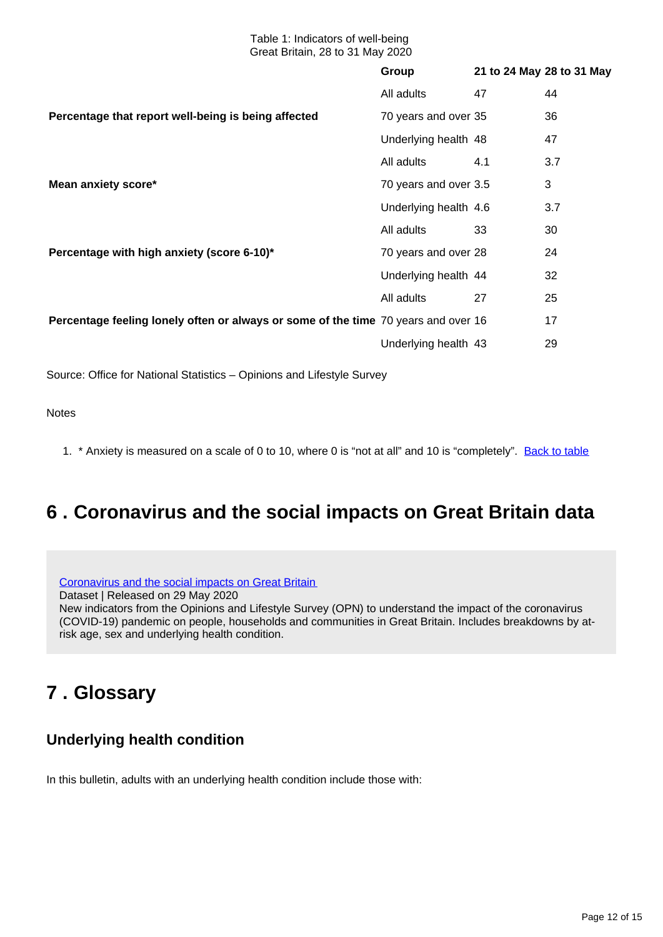|                                                                                    | Group                 | 21 to 24 May 28 to 31 May |              |
|------------------------------------------------------------------------------------|-----------------------|---------------------------|--------------|
| Percentage that report well-being is being affected                                | All adults            | 47                        | 44           |
|                                                                                    | 70 years and over 35  |                           | 36           |
|                                                                                    | Underlying health 48  |                           | 47           |
| Mean anxiety score*                                                                | All adults            | 4.1                       | 3.7          |
|                                                                                    | 70 years and over 3.5 |                           | $\mathbf{3}$ |
|                                                                                    | Underlying health 4.6 |                           | 3.7          |
| Percentage with high anxiety (score 6-10)*                                         | All adults            | 33                        | 30           |
|                                                                                    | 70 years and over 28  |                           | 24           |
|                                                                                    | Underlying health 44  |                           | 32           |
| Percentage feeling lonely often or always or some of the time 70 years and over 16 | All adults            | 27                        | 25           |
|                                                                                    |                       |                           | 17           |
|                                                                                    | Underlying health 43  |                           | 29           |
|                                                                                    |                       |                           |              |

Source: Office for National Statistics – Opinions and Lifestyle Survey

**Notes** 

1. \* Anxiety is measured on a scale of 0 to 10, where 0 is "not at all" and 10 is "completely". [Back to table](#page-0-0)

## <span id="page-11-0"></span>**6 . Coronavirus and the social impacts on Great Britain data**

[Coronavirus and the social impacts on Great Britain](https://www.ons.gov.uk/peoplepopulationandcommunity/healthandsocialcare/healthandwellbeing/datasets/coronavirusandthesocialimpactsongreatbritaindata)

Dataset | Released on 29 May 2020 New indicators from the Opinions and Lifestyle Survey (OPN) to understand the impact of the coronavirus (COVID-19) pandemic on people, households and communities in Great Britain. Includes breakdowns by atrisk age, sex and underlying health condition.

# <span id="page-11-1"></span>**7 . Glossary**

## **Underlying health condition**

In this bulletin, adults with an underlying health condition include those with: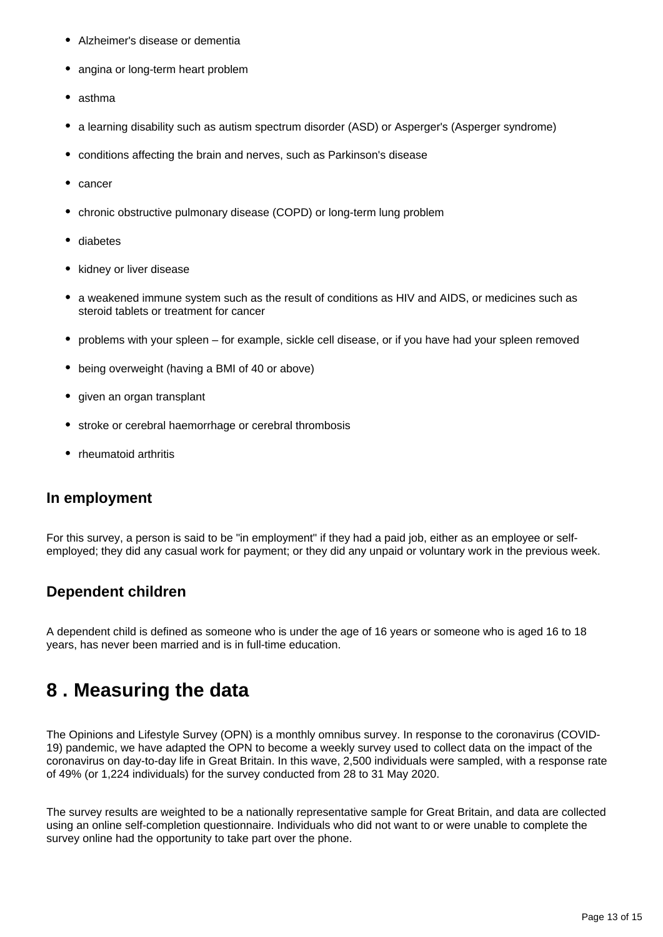- $\bullet$ Alzheimer's disease or dementia
- angina or long-term heart problem
- asthma
- a learning disability such as autism spectrum disorder (ASD) or Asperger's (Asperger syndrome)  $\bullet$
- conditions affecting the brain and nerves, such as Parkinson's disease  $\bullet$
- cancer
- chronic obstructive pulmonary disease (COPD) or long-term lung problem
- diabetes
- kidney or liver disease
- a weakened immune system such as the result of conditions as HIV and AIDS, or medicines such as steroid tablets or treatment for cancer
- problems with your spleen for example, sickle cell disease, or if you have had your spleen removed
- being overweight (having a BMI of 40 or above)
- given an organ transplant
- stroke or cerebral haemorrhage or cerebral thrombosis
- rheumatoid arthritis

### **In employment**

For this survey, a person is said to be "in employment" if they had a paid job, either as an employee or selfemployed; they did any casual work for payment; or they did any unpaid or voluntary work in the previous week.

### **Dependent children**

A dependent child is defined as someone who is under the age of 16 years or someone who is aged 16 to 18 years, has never been married and is in full-time education.

## <span id="page-12-0"></span>**8 . Measuring the data**

The Opinions and Lifestyle Survey (OPN) is a monthly omnibus survey. In response to the coronavirus (COVID-19) pandemic, we have adapted the OPN to become a weekly survey used to collect data on the impact of the coronavirus on day-to-day life in Great Britain. In this wave, 2,500 individuals were sampled, with a response rate of 49% (or 1,224 individuals) for the survey conducted from 28 to 31 May 2020.

The survey results are weighted to be a nationally representative sample for Great Britain, and data are collected using an online self-completion questionnaire. Individuals who did not want to or were unable to complete the survey online had the opportunity to take part over the phone.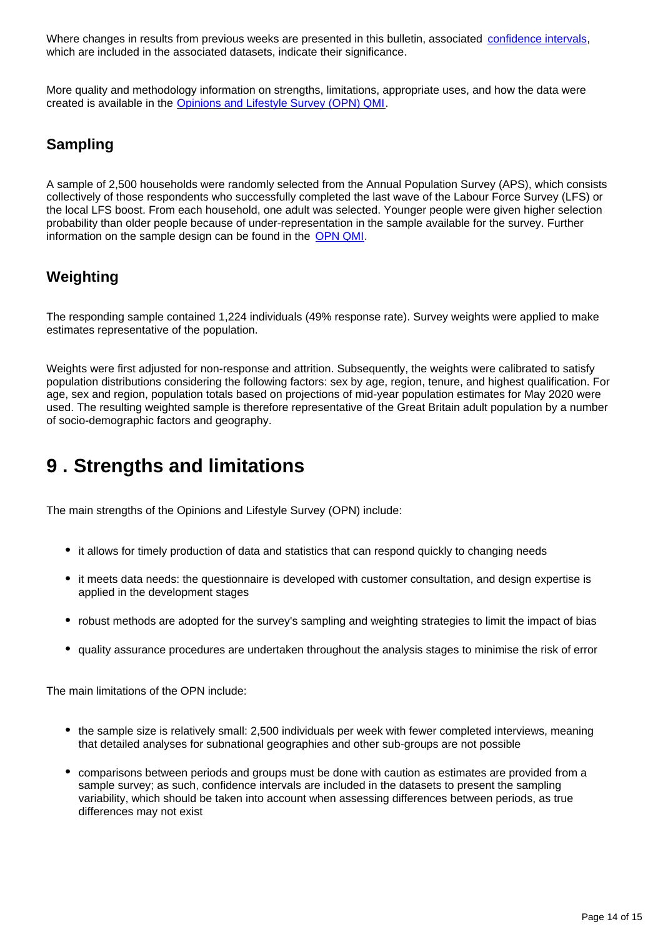Where changes in results from previous weeks are presented in this bulletin, associated [confidence intervals](https://www.ons.gov.uk/methodology/methodologytopicsandstatisticalconcepts/uncertaintyandhowwemeasureit#confidence-interval), which are included in the associated datasets, indicate their significance.

More quality and methodology information on strengths, limitations, appropriate uses, and how the data were created is available in the [Opinions and Lifestyle Survey \(OPN\) QMI](https://www.ons.gov.uk/peoplepopulationandcommunity/healthandsocialcare/healthandlifeexpectancies/methodologies/opinionsandlifestylesurveyqmi).

## **Sampling**

A sample of 2,500 households were randomly selected from the Annual Population Survey (APS), which consists collectively of those respondents who successfully completed the last wave of the Labour Force Survey (LFS) or the local LFS boost. From each household, one adult was selected. Younger people were given higher selection probability than older people because of under-representation in the sample available for the survey. Further information on the sample design can be found in the **[OPN QMI](https://www.ons.gov.uk/peoplepopulationandcommunity/healthandsocialcare/healthandlifeexpectancies/methodologies/opinionsandlifestylesurveyqmi)**.

### **Weighting**

The responding sample contained 1,224 individuals (49% response rate). Survey weights were applied to make estimates representative of the population.

Weights were first adjusted for non-response and attrition. Subsequently, the weights were calibrated to satisfy population distributions considering the following factors: sex by age, region, tenure, and highest qualification. For age, sex and region, population totals based on projections of mid-year population estimates for May 2020 were used. The resulting weighted sample is therefore representative of the Great Britain adult population by a number of socio-demographic factors and geography.

# <span id="page-13-0"></span>**9 . Strengths and limitations**

The main strengths of the Opinions and Lifestyle Survey (OPN) include:

- it allows for timely production of data and statistics that can respond quickly to changing needs
- it meets data needs: the questionnaire is developed with customer consultation, and design expertise is applied in the development stages
- robust methods are adopted for the survey's sampling and weighting strategies to limit the impact of bias
- quality assurance procedures are undertaken throughout the analysis stages to minimise the risk of error

The main limitations of the OPN include:

- the sample size is relatively small: 2,500 individuals per week with fewer completed interviews, meaning that detailed analyses for subnational geographies and other sub-groups are not possible
- comparisons between periods and groups must be done with caution as estimates are provided from a sample survey; as such, confidence intervals are included in the datasets to present the sampling variability, which should be taken into account when assessing differences between periods, as true differences may not exist